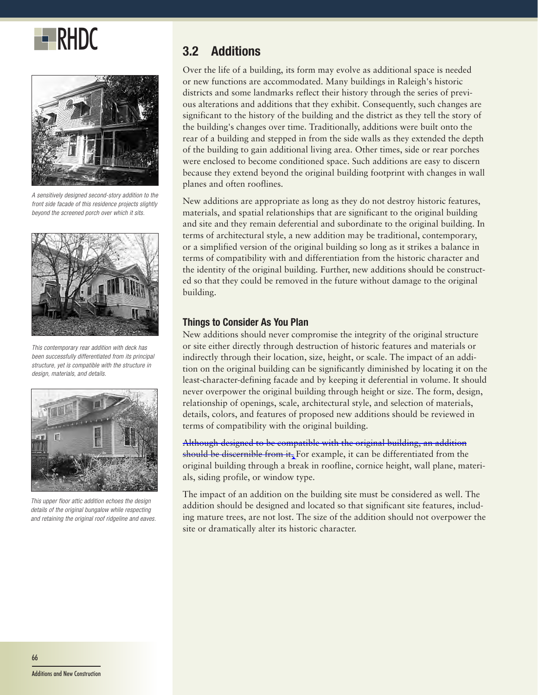



*A sensitively designed second-story addition to the front side facade of this residence projects slightly beyond the screened porch over which it sits.*



*This contemporary rear addition with deck has been successfully differentiated from its principal structure, yet is compatible with the structure in design, materials, and details.*



*This upper floor attic addition echoes the design details of the original bungalow while respecting and retaining the original roof ridgeline and eaves.*

Over the life of a building, its form may evolve as additional space is needed or new functions are accommodated. Many buildings in Raleigh's historic districts and some landmarks reflect their history through the series of previous alterations and additions that they exhibit. Consequently, such changes are significant to the history of the building and the district as they tell the story of the building's changes over time. Traditionally, additions were built onto the rear of a building and stepped in from the side walls as they extended the depth of the building to gain additional living area. Other times, side or rear porches were enclosed to become conditioned space. Such additions are easy to discern because they extend beyond the original building footprint with changes in wall planes and often rooflines.

New additions are appropriate as long as they do not destroy historic features, materials, and spatial relationships that are significant to the original building and site and they remain deferential and subordinate to the original building. In terms of architectural style, a new addition may be traditional, contemporary, or a simplified version of the original building so long as it strikes a balance in terms of compatibility with and differentiation from the historic character and the identity of the original building. Further, new additions should be constructed so that they could be removed in the future without damage to the original building.

### **Things to Consider As You Plan**

New additions should never compromise the integrity of the original structure or site either directly through destruction of historic features and materials or indirectly through their location, size, height, or scale. The impact of an addition on the original building can be significantly diminished by locating it on the least-character-defining facade and by keeping it deferential in volume. It should never overpower the original building through height or size. The form, design, relationship of openings, scale, architectural style, and selection of materials, details, colors, and features of proposed new additions should be reviewed in terms of compatibility with the original building.

Although designed to be compatible with the original building, an addition should be discernible from it. For example, it can be differentiated from the original building through a break in roofline, cornice height, wall plane, materials, siding profile, or window type.

The impact of an addition on the building site must be considered as well. The addition should be designed and located so that significant site features, including mature trees, are not lost. The size of the addition should not overpower the site or dramatically alter its historic character.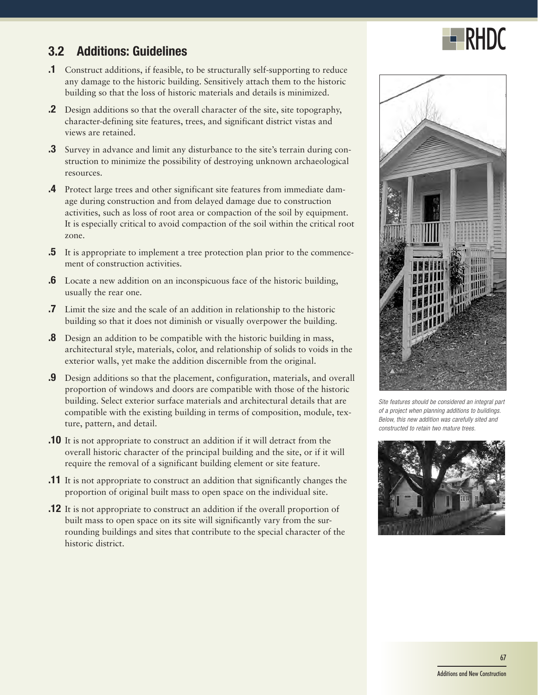

# **3.2 Additions: Guidelines**

- **.1** Construct additions, if feasible, to be structurally self-supporting to reduce any damage to the historic building. Sensitively attach them to the historic building so that the loss of historic materials and details is minimized.
- **.2** Design additions so that the overall character of the site, site topography, character-defining site features, trees, and significant district vistas and views are retained.
- **.3** Survey in advance and limit any disturbance to the site's terrain during construction to minimize the possibility of destroying unknown archaeological resources.
- **.4** Protect large trees and other significant site features from immediate damage during construction and from delayed damage due to construction activities, such as loss of root area or compaction of the soil by equipment. It is especially critical to avoid compaction of the soil within the critical root zone.
- **.5** It is appropriate to implement a tree protection plan prior to the commencement of construction activities.
- **.6** Locate a new addition on an inconspicuous face of the historic building, usually the rear one.
- **.7** Limit the size and the scale of an addition in relationship to the historic building so that it does not diminish or visually overpower the building.
- **.8** Design an addition to be compatible with the historic building in mass, architectural style, materials, color, and relationship of solids to voids in the exterior walls, yet make the addition discernible from the original.
- **.9** Design additions so that the placement, configuration, materials, and overall proportion of windows and doors are compatible with those of the historic building. Select exterior surface materials and architectural details that are compatible with the existing building in terms of composition, module, texture, pattern, and detail.
- **.10** It is not appropriate to construct an addition if it will detract from the overall historic character of the principal building and the site, or if it will require the removal of a significant building element or site feature.
- **.11** It is not appropriate to construct an addition that significantly changes the proportion of original built mass to open space on the individual site.
- **.12** It is not appropriate to construct an addition if the overall proportion of built mass to open space on its site will significantly vary from the surrounding buildings and sites that contribute to the special character of the historic district.



*Site features should be considered an integral part of a project when planning additions to buildings. Below, this new addition was carefully sited and constructed to retain two mature trees.*

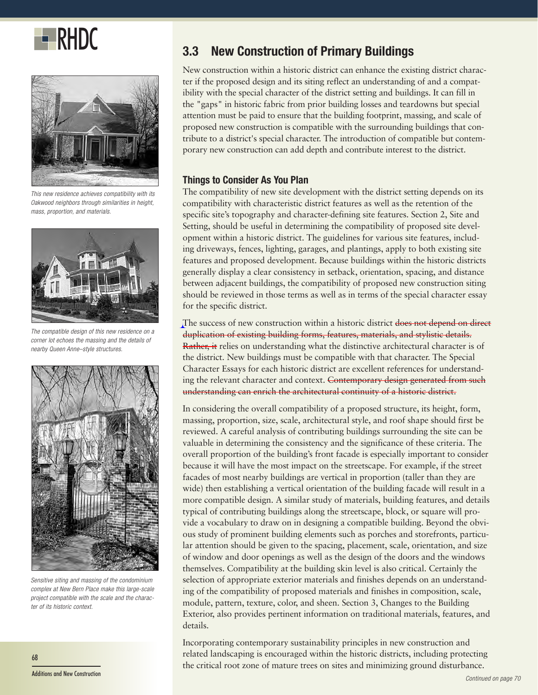



*This new residence achieves compatibility with its Oakwood neighbors through similarities in height, mass, proportion, and materials.*



*The compatible design of this new residence on a corner lot echoes the massing and the details of nearby Queen Anne–style structures.*



*Sensitive siting and massing of the condominium complex at New Bern Place make this large-scale project compatible with the scale and the character of its historic context.*

# **RHDC** 3.3 New Construction of Primary Buildings

New construction within a historic district can enhance the existing district character if the proposed design and its siting reflect an understanding of and a compatibility with the special character of the district setting and buildings. It can fill in the "gaps" in historic fabric from prior building losses and teardowns but special attention must be paid to ensure that the building footprint, massing, and scale of proposed new construction is compatible with the surrounding buildings that contribute to a district's special character. The introduction of compatible but contemporary new construction can add depth and contribute interest to the district.

### **Things to Consider As You Plan**

The compatibility of new site development with the district setting depends on its compatibility with characteristic district features as well as the retention of the specific site's topography and character-defining site features. Section 2, Site and Setting, should be useful in determining the compatibility of proposed site development within a historic district. The guidelines for various site features, including driveways, fences, lighting, garages, and plantings, apply to both existing site features and proposed development. Because buildings within the historic districts generally display a clear consistency in setback, orientation, spacing, and distance between adjacent buildings, the compatibility of proposed new construction siting should be reviewed in those terms as well as in terms of the special character essay for the specific district.

The success of new construction within a historic district does not depend on direct duplication of existing building forms, features, materials, and stylistic details. Rather, it relies on understanding what the distinctive architectural character is of the district. New buildings must be compatible with that character. The Special Character Essays for each historic district are excellent references for understanding the relevant character and context. Contemporary design generated from such understanding can enrich the architectural continuity of a historic district.

In considering the overall compatibility of a proposed structure, its height, form, massing, proportion, size, scale, architectural style, and roof shape should first be reviewed. A careful analysis of contributing buildings surrounding the site can be valuable in determining the consistency and the significance of these criteria. The overall proportion of the building's front facade is especially important to consider because it will have the most impact on the streetscape. For example, if the street facades of most nearby buildings are vertical in proportion (taller than they are wide) then establishing a vertical orientation of the building facade will result in a more compatible design. A similar study of materials, building features, and details typical of contributing buildings along the streetscape, block, or square will provide a vocabulary to draw on in designing a compatible building. Beyond the obvious study of prominent building elements such as porches and storefronts, particular attention should be given to the spacing, placement, scale, orientation, and size of window and door openings as well as the design of the doors and the windows themselves. Compatibility at the building skin level is also critical. Certainly the selection of appropriate exterior materials and finishes depends on an understanding of the compatibility of proposed materials and finishes in composition, scale, module, pattern, texture, color, and sheen. Section 3, Changes to the Building Exterior, also provides pertinent information on traditional materials, features, and details.

Incorporating contemporary sustainability principles in new construction and related landscaping is encouraged within the historic districts, including protecting the critical root zone of mature trees on sites and minimizing ground disturbance.

68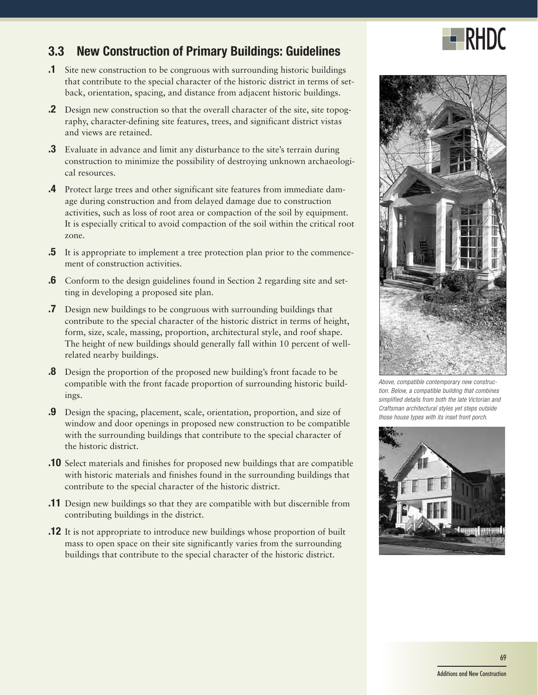

## **3.3 New Construction of Primary Buildings: Guidelines**

- **.1** Site new construction to be congruous with surrounding historic buildings that contribute to the special character of the historic district in terms of setback, orientation, spacing, and distance from adjacent historic buildings.
- **.2** Design new construction so that the overall character of the site, site topography, character-defining site features, trees, and significant district vistas and views are retained.
- **.3** Evaluate in advance and limit any disturbance to the site's terrain during construction to minimize the possibility of destroying unknown archaeological resources.
- **.4** Protect large trees and other significant site features from immediate damage during construction and from delayed damage due to construction activities, such as loss of root area or compaction of the soil by equipment. It is especially critical to avoid compaction of the soil within the critical root zone.
- **.5** It is appropriate to implement a tree protection plan prior to the commencement of construction activities.
- **.6** Conform to the design guidelines found in Section 2 regarding site and setting in developing a proposed site plan.
- **.7** Design new buildings to be congruous with surrounding buildings that contribute to the special character of the historic district in terms of height, form, size, scale, massing, proportion, architectural style, and roof shape. The height of new buildings should generally fall within 10 percent of wellrelated nearby buildings.
- **.8** Design the proportion of the proposed new building's front facade to be compatible with the front facade proportion of surrounding historic buildings.
- **.9** Design the spacing, placement, scale, orientation, proportion, and size of window and door openings in proposed new construction to be compatible with the surrounding buildings that contribute to the special character of the historic district.
- **.10** Select materials and finishes for proposed new buildings that are compatible with historic materials and finishes found in the surrounding buildings that contribute to the special character of the historic district.
- **.11** Design new buildings so that they are compatible with but discernible from contributing buildings in the district.
- **.12** It is not appropriate to introduce new buildings whose proportion of built mass to open space on their site significantly varies from the surrounding buildings that contribute to the special character of the historic district.



*Above, compatible contemporary new construction. Below, a compatible building that combines simplified details from both the late Victorian and Craftsman architectural styles yet steps outside those house types with its inset front porch.*